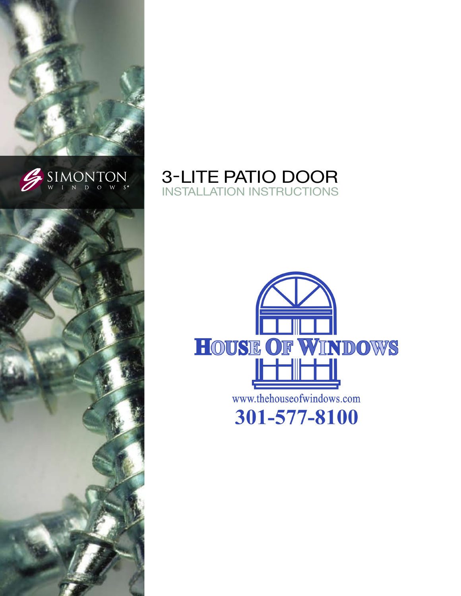





# **3-LITE PATIO DOOR INSTALLATION INSTRUCTIONS**

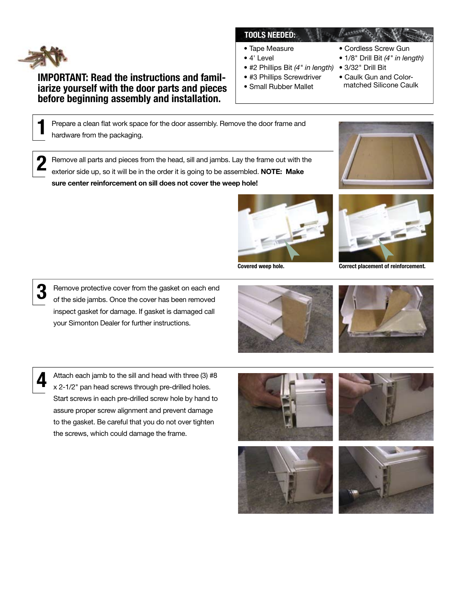

## **IMPORTANT: Read the instructions and famil**iarize yourself with the door parts and pieces before beginning assembly and installation.

### **TOOLS NEEDED:**

- Tape Measure
- $\bullet$  4' Level
- #2 Phillips Bit (4" in length) 3/32" Drill Bit
- #3 Phillips Screwdriver
- · Small Rubber Mallet
- Cordless Screw Gun • 1/8" Drill Bit (4" in length)
- 
- Caulk Gun and Color-
- matched Silicone Caulk

Prepare a clean flat work space for the door assembly. Remove the door frame and hardware from the packaging.

Remove all parts and pieces from the head, sill and jambs. Lay the frame out with the exterior side up, so it will be in the order it is going to be assembled. NOTE: Make sure center reinforcement on sill does not cover the weep hole!



Covered weep hole.



Correct placement of reinforcement.



Remove protective cover from the gasket on each end of the side jambs. Once the cover has been removed inspect gasket for damage. If gasket is damaged call your Simonton Dealer for further instructions.

Attach each jamb to the sill and head with three (3) #8 x 2-1/2" pan head screws through pre-drilled holes. Start screws in each pre-drilled screw hole by hand to assure proper screw alignment and prevent damage to the gasket. Be careful that you do not over tighten the screws, which could damage the frame.







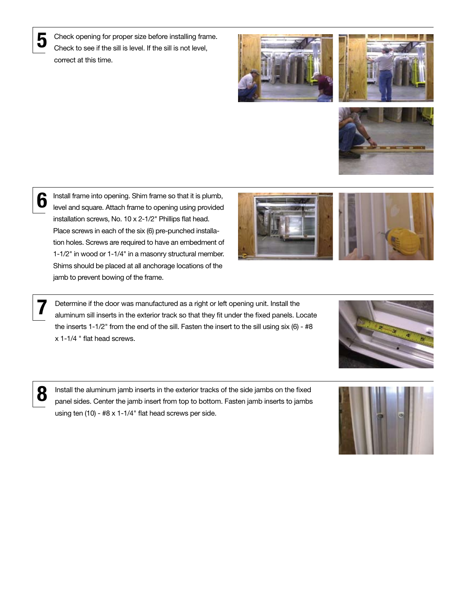Check opening for proper size before installing frame. Check to see if the sill is level. If the sill is not level, correct at this time.







6

Install frame into opening. Shim frame so that it is plumb, level and square. Attach frame to opening using provided installation screws, No. 10 x 2-1/2" Phillips flat head. Place screws in each of the six (6) pre-punched installation holes. Screws are required to have an embedment of 1-1/2" in wood or 1-1/4" in a masonry structural member. Shims should be placed at all anchorage locations of the jamb to prevent bowing of the frame.



Determine if the door was manufactured as a right or left opening unit. Install the<br>aluminum sill inserts in the exterior track so that they fit under the fixed panels. Locate the inserts 1-1/2" from the end of the sill. Fasten the insert to the sill using six (6) - #8  $x$  1-1/4 " flat head screws.



**8** Install the aluminum jamb inserts in the exterior tracks of the side jambs on the fixed<br> **8** Insert side Contex the issue issue from to be bettern. Easten jamb inserts to jamba panel sides. Center the jamb insert from top to bottom. Fasten jamb inserts to jambs using ten  $(10)$  - #8 x 1-1/4" flat head screws per side.

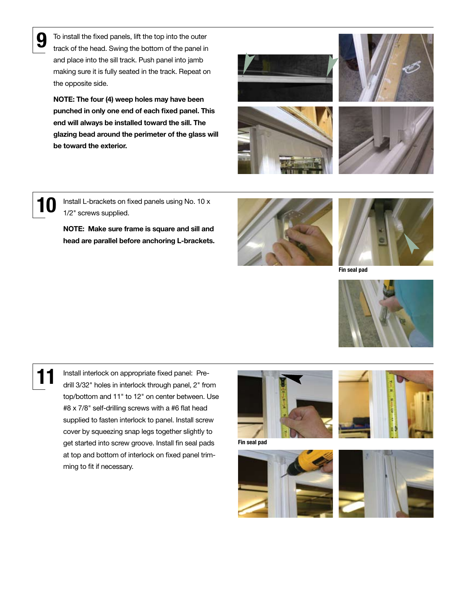To install the fixed panels, lift the top into the outer track of the head. Swing the bottom of the panel in and place into the sill track. Push panel into jamb making sure it is fully seated in the track. Repeat on the opposite side.

NOTE: The four (4) weep holes may have been punched in only one end of each fixed panel. This end will always be installed toward the sill. The glazing bead around the perimeter of the glass will be toward the exterior.









**10** Install L-brackets on fixed panels using No. 10 x 1/2" screws supplied.

> NOTE: Make sure frame is square and sill and head are parallel before anchoring L-brackets.





Fin seal pad



Install interlock on appropriate fixed panel: Predrill 3/32" holes in interlock through panel, 2" from top/bottom and 11" to 12" on center between. Use #8 x 7/8" self-drilling screws with a #6 flat head supplied to fasten interlock to panel. Install screw cover by squeezing snap legs together slightly to get started into screw groove. Install fin seal pads at top and bottom of interlock on fixed panel trimming to fit if necessary.



Fin seal pad





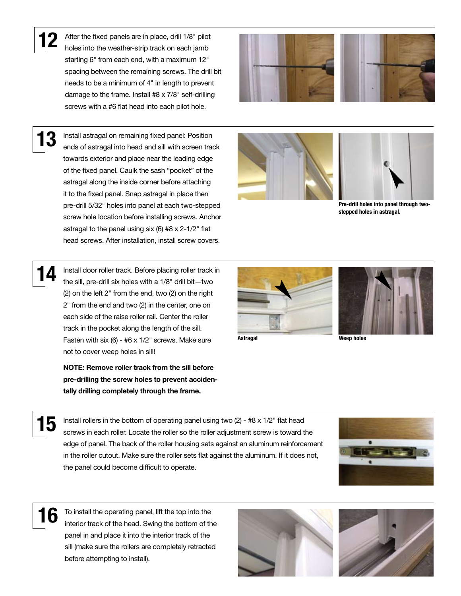After the fixed panels are in place, drill 1/8" pilot holes into the weather-strip track on each jamb starting 6" from each end, with a maximum 12" spacing between the remaining screws. The drill bit needs to be a minimum of 4" in length to prevent damage to the frame. Install #8 x 7/8" self-drilling screws with a #6 flat head into each pilot hole.



 $13$  Install astragal on remaining fixed panel: Position ends of astragal into head and sill with screen track towards exterior and place near the leading edge of the fixed panel. Caulk the sash "pocket" of the astragal along the inside corner before attaching it to the fixed panel. Snap astragal in place then pre-drill 5/32" holes into panel at each two-stepped screw hole location before installing screws. Anchor astragal to the panel using six (6)  $#8 \times 2-1/2"$  flat head screws. After installation, install screw covers.





Pre-drill holes into panel through twostepped holes in astragal.

Install door roller track. Before placing roller track in the sill, pre-drill six holes with a 1/8" drill bit—two (2) on the left 2" from the end, two (2) on the right 2" from the end and two (2) in the center, one on each side of the raise roller rail. Center the roller track in the pocket along the length of the sill. Fasten with six (6) - #6 x 1/2" screws. Make sure not to cover weep holes in sill!

NOTE: Remove roller track from the sill before pre-drilling the screw holes to prevent accidentally drilling completely through the frame.





Astragal Weep holes



**15** Install rollers in the bottom of operating panel using two (2) -  $#8 \times 1/2"$  flat head screws in each roller. Locate the roller so the roller adjustment screw is toward the edge of panel. The back of the roller housing sets against an aluminum reinforcement in the roller cutout. Make sure the roller sets flat against the aluminum. If it does not, the panel could become difficult to operate.



16 To install the operating panel, lift the top into the interior track of the head. Swing the bottom of the panel in and place it into the interior track of the sill (make sure the rollers are completely retracted before attempting to install).



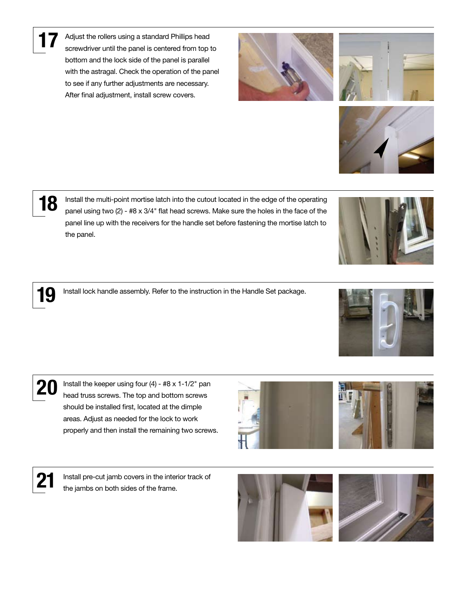Adjust the rollers using a standard Phillips head screwdriver until the panel is centered from top to bottom and the lock side of the panel is parallel with the astragal. Check the operation of the panel to see if any further adjustments are necessary. After final adjustment, install screw covers.

18 Install the multi-point mortise latch into the cutout located in the edge of the operating<br>  $\sum_{n=1}^{\infty}$  and using two (2) = #8 x 3/4" flat head screws. Make sure the boles in the face of the panel using two (2) -  $#8 \times 3/4"$  flat head screws. Make sure the holes in the face of the panel line up with the receivers for the handle set before fastening the mortise latch to the panel.

19 Install lock handle assembly. Refer to the instruction in the Handle Set package.

20 Install the keeper using four  $(4)$  -  $#8 \times 1$ -1/2" pan head truss screws. The top and bottom screws should be installed first, located at the dimple areas. Adjust as needed for the lock to work properly and then install the remaining two screws.

21 Install pre-cut jamb covers in the interior track of the jambs on both sides of the frame.











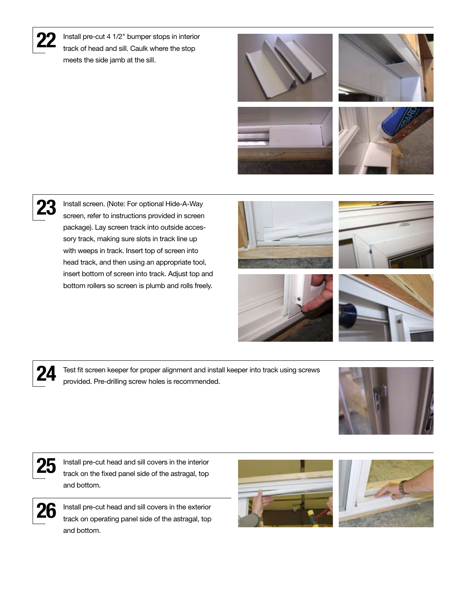

Install pre-cut 4 1/2" bumper stops in interior track of head and sill. Caulk where the stop meets the side jamb at the sill.











23 Install screen. (Note: For optional Hide-A-Way screen, refer to instructions provided in screen package). Lay screen track into outside accessory track, making sure slots in track line up with weeps in track. Insert top of screen into head track, and then using an appropriate tool, insert bottom of screen into track. Adjust top and bottom rollers so screen is plumb and rolls freely.









24 Test fit screen keeper for proper alignment and install keeper into track using screws provided. Pre-drilling screw holes is recommended.





 $25$  Install pre-cut head and sill covers in the interior  $\frac{25}{100}$ track on the fixed panel side of the astragal, top and bottom.



 $26$  Install pre-cut head and sill covers in the exterior track on operating panel side of the astragal, top and bottom.